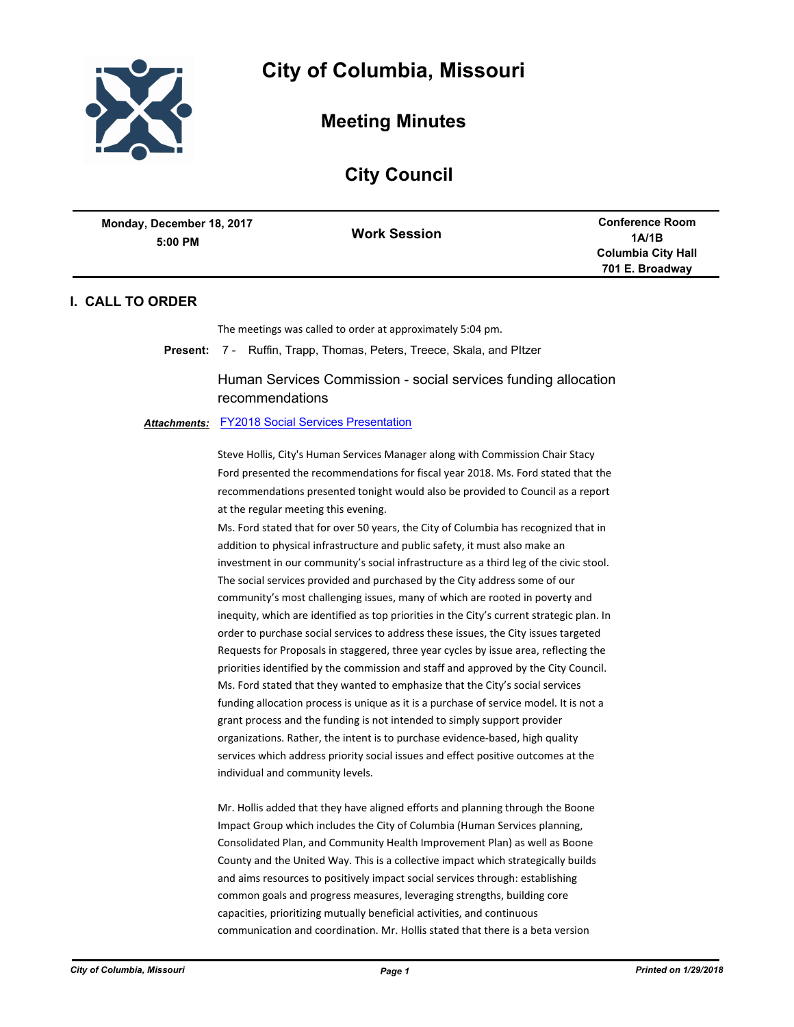

**Meeting Minutes**

# **City Council**

| Monday, December 18, 2017<br>5:00 PM | <b>Work Session</b> | <b>Conference Room</b><br>1A/1B              |
|--------------------------------------|---------------------|----------------------------------------------|
|                                      |                     | <b>Columbia City Hall</b><br>701 E. Broadway |

# **I. CALL TO ORDER**

The meetings was called to order at approximately 5:04 pm.

**Present:** 7 - Ruffin, Trapp, Thomas, Peters, Treece, Skala, and PItzer

Human Services Commission - social services funding allocation recommendations

### *Attachments:* [FY2018 Social Services Presentation](http://gocolumbiamo.legistar.com/gateway.aspx?M=F&ID=8d530d6a-7270-4db2-8a9b-7f9fdfea2de3.pdf)

Steve Hollis, City's Human Services Manager along with Commission Chair Stacy Ford presented the recommendations for fiscal year 2018. Ms. Ford stated that the recommendations presented tonight would also be provided to Council as a report at the regular meeting this evening.

Ms. Ford stated that for over 50 years, the City of Columbia has recognized that in addition to physical infrastructure and public safety, it must also make an investment in our community's social infrastructure as a third leg of the civic stool. The social services provided and purchased by the City address some of our community's most challenging issues, many of which are rooted in poverty and inequity, which are identified as top priorities in the City's current strategic plan. In order to purchase social services to address these issues, the City issues targeted Requests for Proposals in staggered, three year cycles by issue area, reflecting the priorities identified by the commission and staff and approved by the City Council. Ms. Ford stated that they wanted to emphasize that the City's social services funding allocation process is unique as it is a purchase of service model. It is not a grant process and the funding is not intended to simply support provider organizations. Rather, the intent is to purchase evidence-based, high quality services which address priority social issues and effect positive outcomes at the individual and community levels.

Mr. Hollis added that they have aligned efforts and planning through the Boone Impact Group which includes the City of Columbia (Human Services planning, Consolidated Plan, and Community Health Improvement Plan) as well as Boone County and the United Way. This is a collective impact which strategically builds and aims resources to positively impact social services through: establishing common goals and progress measures, leveraging strengths, building core capacities, prioritizing mutually beneficial activities, and continuous communication and coordination. Mr. Hollis stated that there is a beta version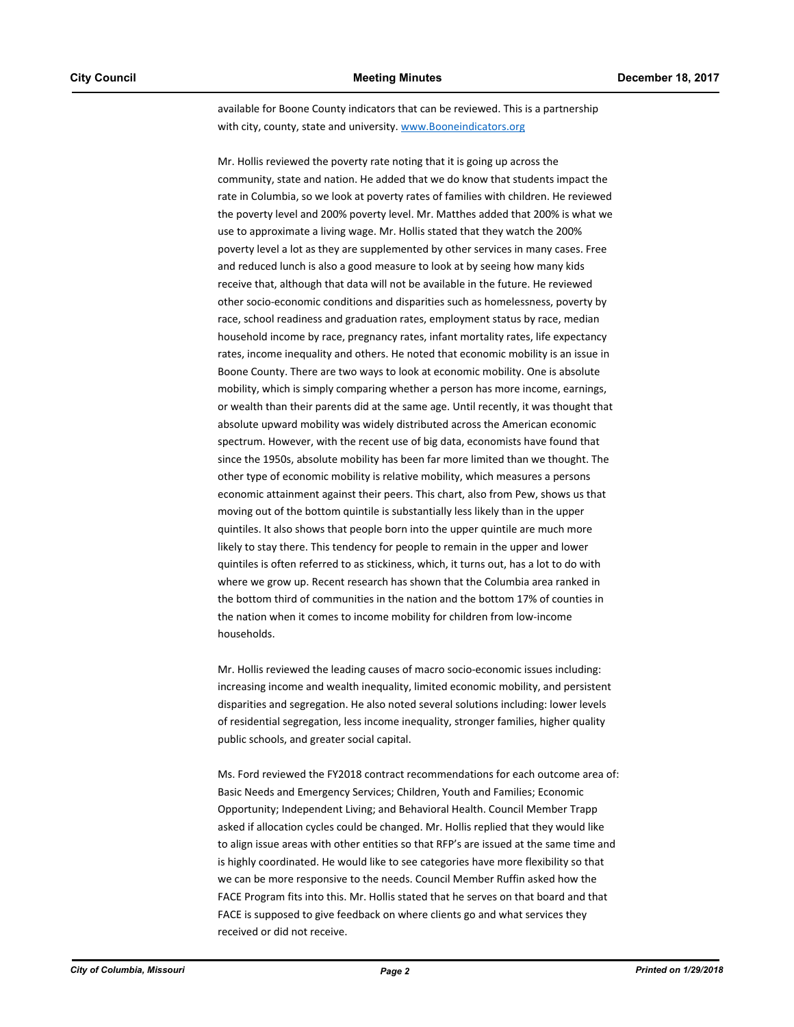available for Boone County indicators that can be reviewed. This is a partnership with city, county, state and university. www.Booneindicators.org

Mr. Hollis reviewed the poverty rate noting that it is going up across the community, state and nation. He added that we do know that students impact the rate in Columbia, so we look at poverty rates of families with children. He reviewed the poverty level and 200% poverty level. Mr. Matthes added that 200% is what we use to approximate a living wage. Mr. Hollis stated that they watch the 200% poverty level a lot as they are supplemented by other services in many cases. Free and reduced lunch is also a good measure to look at by seeing how many kids receive that, although that data will not be available in the future. He reviewed other socio-economic conditions and disparities such as homelessness, poverty by race, school readiness and graduation rates, employment status by race, median household income by race, pregnancy rates, infant mortality rates, life expectancy rates, income inequality and others. He noted that economic mobility is an issue in Boone County. There are two ways to look at economic mobility. One is absolute mobility, which is simply comparing whether a person has more income, earnings, or wealth than their parents did at the same age. Until recently, it was thought that absolute upward mobility was widely distributed across the American economic spectrum. However, with the recent use of big data, economists have found that since the 1950s, absolute mobility has been far more limited than we thought. The other type of economic mobility is relative mobility, which measures a persons economic attainment against their peers. This chart, also from Pew, shows us that moving out of the bottom quintile is substantially less likely than in the upper quintiles. It also shows that people born into the upper quintile are much more likely to stay there. This tendency for people to remain in the upper and lower quintiles is often referred to as stickiness, which, it turns out, has a lot to do with where we grow up. Recent research has shown that the Columbia area ranked in the bottom third of communities in the nation and the bottom 17% of counties in the nation when it comes to income mobility for children from low-income households.

Mr. Hollis reviewed the leading causes of macro socio-economic issues including: increasing income and wealth inequality, limited economic mobility, and persistent disparities and segregation. He also noted several solutions including: lower levels of residential segregation, less income inequality, stronger families, higher quality public schools, and greater social capital.

Ms. Ford reviewed the FY2018 contract recommendations for each outcome area of: Basic Needs and Emergency Services; Children, Youth and Families; Economic Opportunity; Independent Living; and Behavioral Health. Council Member Trapp asked if allocation cycles could be changed. Mr. Hollis replied that they would like to align issue areas with other entities so that RFP's are issued at the same time and is highly coordinated. He would like to see categories have more flexibility so that we can be more responsive to the needs. Council Member Ruffin asked how the FACE Program fits into this. Mr. Hollis stated that he serves on that board and that FACE is supposed to give feedback on where clients go and what services they received or did not receive.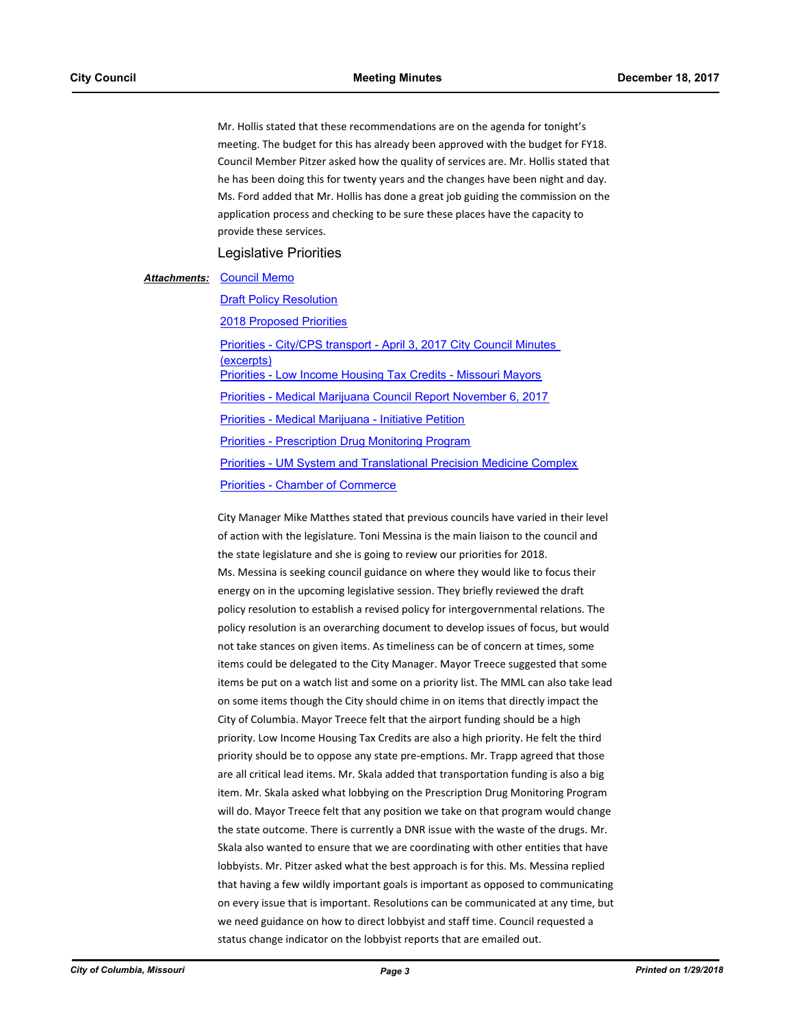Mr. Hollis stated that these recommendations are on the agenda for tonight's meeting. The budget for this has already been approved with the budget for FY18. Council Member Pitzer asked how the quality of services are. Mr. Hollis stated that he has been doing this for twenty years and the changes have been night and day. Ms. Ford added that Mr. Hollis has done a great job guiding the commission on the application process and checking to be sure these places have the capacity to provide these services.

Legislative Priorities

#### **Attachments: [Council Memo](http://gocolumbiamo.legistar.com/gateway.aspx?M=F&ID=57060707-a9b7-4ebd-a40c-a61e78b92f89.pdf)**

**[Draft Policy Resolution](http://gocolumbiamo.legistar.com/gateway.aspx?M=F&ID=93c32a5c-74d0-4a09-a36e-0123e1983b53.docx)** [2018 Proposed Priorities](http://gocolumbiamo.legistar.com/gateway.aspx?M=F&ID=7696380b-73be-4482-a557-d4d7d3f9e0ac.docx) [Priorities - City/CPS transport - April 3, 2017 City Council Minutes](http://gocolumbiamo.legistar.com/gateway.aspx?M=F&ID=0f6a67fd-d3a5-4fee-a7bc-996b40ac13c6.pdf)  (excerpts) [Priorities - Low Income Housing Tax Credits - Missouri Mayors](http://gocolumbiamo.legistar.com/gateway.aspx?M=F&ID=1a4290d7-03a9-413d-b3b3-7ff71c0bd286.pdf) [Priorities - Medical Marijuana Council Report November 6, 2017](http://gocolumbiamo.legistar.com/gateway.aspx?M=F&ID=9e6b15c4-e3bc-4365-b2bb-422d1795dec0.pdf) [Priorities - Medical Marijuana - Initiative Petition](http://gocolumbiamo.legistar.com/gateway.aspx?M=F&ID=ceaae240-6a07-4115-b533-af9e778656fd.pdf) [Priorities - Prescription Drug Monitoring Program](http://gocolumbiamo.legistar.com/gateway.aspx?M=F&ID=3b57ab20-a091-416a-944e-97a0d507dc30.pdf) [Priorities - UM System and Translational Precision Medicine Complex](http://gocolumbiamo.legistar.com/gateway.aspx?M=F&ID=b43052ec-5f66-453f-bb39-fe1997b67059.pdf) [Priorities - Chamber of Commerce](http://gocolumbiamo.legistar.com/gateway.aspx?M=F&ID=686191d3-4c9f-409e-bf69-86cabf723343.pdf)

City Manager Mike Matthes stated that previous councils have varied in their level of action with the legislature. Toni Messina is the main liaison to the council and the state legislature and she is going to review our priorities for 2018. Ms. Messina is seeking council guidance on where they would like to focus their energy on in the upcoming legislative session. They briefly reviewed the draft policy resolution to establish a revised policy for intergovernmental relations. The policy resolution is an overarching document to develop issues of focus, but would not take stances on given items. As timeliness can be of concern at times, some items could be delegated to the City Manager. Mayor Treece suggested that some items be put on a watch list and some on a priority list. The MML can also take lead on some items though the City should chime in on items that directly impact the City of Columbia. Mayor Treece felt that the airport funding should be a high priority. Low Income Housing Tax Credits are also a high priority. He felt the third priority should be to oppose any state pre-emptions. Mr. Trapp agreed that those are all critical lead items. Mr. Skala added that transportation funding is also a big item. Mr. Skala asked what lobbying on the Prescription Drug Monitoring Program will do. Mayor Treece felt that any position we take on that program would change the state outcome. There is currently a DNR issue with the waste of the drugs. Mr. Skala also wanted to ensure that we are coordinating with other entities that have lobbyists. Mr. Pitzer asked what the best approach is for this. Ms. Messina replied that having a few wildly important goals is important as opposed to communicating on every issue that is important. Resolutions can be communicated at any time, but we need guidance on how to direct lobbyist and staff time. Council requested a status change indicator on the lobbyist reports that are emailed out.